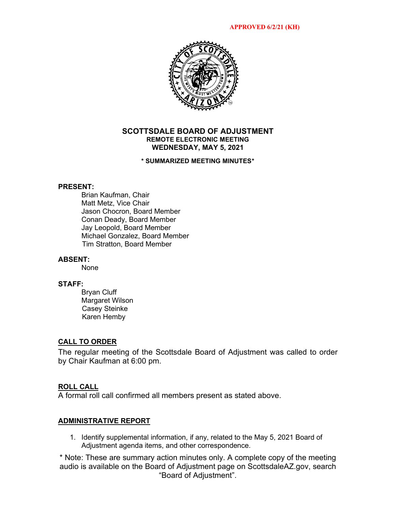

# **SCOTTSDALE BOARD OF ADJUSTMENT REMOTE ELECTRONIC MEETING WEDNESDAY, MAY 5, 2021**

### **\* SUMMARIZED MEETING MINUTES\***

### **PRESENT:**

Brian Kaufman, Chair Matt Metz, Vice Chair Jason Chocron, Board Member Conan Deady, Board Member Jay Leopold, Board Member Michael Gonzalez, Board Member Tim Stratton, Board Member

### **ABSENT:**

None

### **STAFF:**

Bryan Cluff Margaret Wilson Casey Steinke Karen Hemby

## **CALL TO ORDER**

The regular meeting of the Scottsdale Board of Adjustment was called to order by Chair Kaufman at 6:00 pm.

## **ROLL CALL**

A formal roll call confirmed all members present as stated above.

# **ADMINISTRATIVE REPORT**

1. Identify supplemental information, if any, related to the May 5, 2021 Board of Adjustment agenda items, and other correspondence.

\* Note: These are summary action minutes only. A complete copy of the meeting audio is available on the Board of Adjustment page on ScottsdaleAZ.gov, search "Board of Adjustment".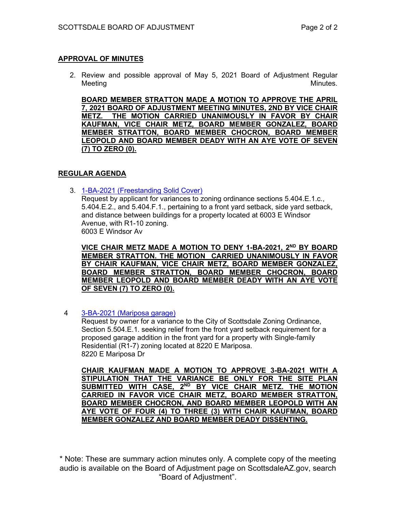# **APPROVAL OF MINUTES**

2. Review and possible approval of May 5, 2021 Board of Adjustment Regular Meeting and the contract of the contract of the contract of the contract of the Minutes.

**BOARD MEMBER STRATTON MADE A MOTION TO APPROVE THE APRIL 7, 2021 BOARD OF ADJUSTMENT MEETING MINUTES, 2ND BY VICE CHAIR METZ. THE MOTION CARRIED UNANIMOUSLY IN FAVOR BY CHAIR KAUFMAN, VICE CHAIR METZ, BOARD MEMBER GONZALEZ, BOARD MEMBER STRATTON, BOARD MEMBER CHOCRON, BOARD MEMBER LEOPOLD AND BOARD MEMBER DEADY WITH AN AYE VOTE OF SEVEN (7) TO ZERO (0).** 

# **REGULAR AGENDA**

3. [1-BA-2021 \(Freestanding Solid Cover\)](https://eservices.scottsdaleaz.gov/planning/projectsummary/ba_reports/BA_1_BA_2021.pdf) Request by applicant for variances to zoning ordinance sections 5.404.E.1.c., 5.404.E.2., and 5.404.F.1., pertaining to a front yard setback, side yard setback, and distance between buildings for a property located at 6003 E Windsor Avenue, with R1-10 zoning. 6003 E Windsor Av

VICE CHAIR METZ MADE A MOTION TO DENY 1-BA-2021, 2<sup>ND</sup> BY BOARD **MEMBER STRATTON. THE MOTION CARRIED UNANIMOUSLY IN FAVOR BY CHAIR KAUFMAN, VICE CHAIR METZ, BOARD MEMBER GONZALEZ, BOARD MEMBER STRATTON, BOARD MEMBER CHOCRON, BOARD MEMBER LEOPOLD AND BOARD MEMBER DEADY WITH AN AYE VOTE OF SEVEN (7) TO ZERO (0).** 

4 [3-BA-2021 \(Mariposa garage\)](https://eservices.scottsdaleaz.gov/planning/projectsummary/ba_reports/BA_3_BA_2021.pdf)

Request by owner for a variance to the City of Scottsdale Zoning Ordinance, Section 5.504.E.1. seeking relief from the front yard setback requirement for a proposed garage addition in the front yard for a property with Single-family Residential (R1-7) zoning located at 8220 E Mariposa. 8220 E Mariposa Dr

**CHAIR KAUFMAN MADE A MOTION TO APPROVE 3-BA-2021 WITH A STIPULATION THAT THE VARIANCE BE ONLY FOR THE SITE PLAN SUBMITTED WITH CASE, 2ND BY VICE CHAIR METZ. THE MOTION CARRIED IN FAVOR VICE CHAIR METZ, BOARD MEMBER STRATTON, BOARD MEMBER CHOCRON, AND BOARD MEMBER LEOPOLD WITH AN AYE VOTE OF FOUR (4) TO THREE (3) WITH CHAIR KAUFMAN, BOARD MEMBER GONZALEZ AND BOARD MEMBER DEADY DISSENTING.**

\* Note: These are summary action minutes only. A complete copy of the meeting audio is available on the Board of Adjustment page on ScottsdaleAZ.gov, search "Board of Adjustment".